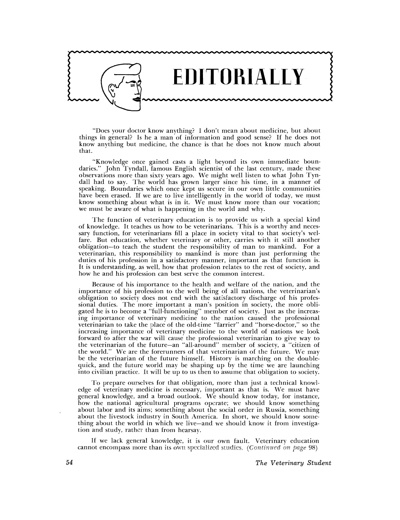

"Does your doctor know anything? I don't mean about medicine, but about things in general? Is he a man of information and good sense? If he does not know anything but medicine, the chance is that he does not know much about that.

"Knowledge once gained casts a light beyond its own immediate boundaries." John Tyndall, famous English scientist of the last century, made these observations more than sixty years ago. We might well listen to what John Tyndall had to say. The world has grown larger since his time, in a manner of speaking. Boundaries which once kept us secure in our own little communities have been erased. If we are to live intelligently in the world of today, we must know something about what is in it. We must know more than our vocation; we must be aware of what is happening in the world and why.

The function of veterinary education is to provide us with a special kind of knowledge. It teaches us how to be veterinarians. This is a worthy and necessary function, for veterinarians fill a place in society vital to that society's welfare. But education, whether veterinary or other, carries with it still another obligation-to teach the student the responsibility of man to mankind. For a veterinarian, this responsibility to mankind is more than just performing the duties of his profession in a satisfactory manner, important as that function is. It is understanding, as well, how that profession relates to the rest of society, and how he and his profession can best serve the common interest.

Because of his importance to the health and welfare of the nation, and the importance of his profession to the well being of all nations, the veterinarian's obligation to society does not end with the satisfactory discharge of his professional duties. The more important a man's position in society, the more obligated he is to become a "full-functioning" member of society. Just as the increasing importance of veterinary medicine to the nation caused the professional veterinarian to take the place of the old-time "farrier" and "horse-doctor," so the increasing importance of veterinary medicine to the world of nations we look forward to after the war will cause the professional veterinarian to give way to the veterinarian of the future-an "all-around" member of society, a "citizen of the world." \Ve are the forerunners of that veterinarian of the future. We may be the veterinarian of the future himself. History is marching on the doublcquick, and the future world may be shaping up by the time we are launching into civilian practice. It will be up to us then to assume that obligation to society.

To prepare ourselves for that obligation, more than just a technical knowledge of veterinary medicine is necessary, important as that is. We must have general knowledge, and a broad outlook. We should know today, for instance, how the national agricultural programs operate; we should know something about labor and its aims; something about the social order in Russia, something about the livestock industry in South America. In short, we should know something about the world in which we live-and we should know it from investigation and study, rather than from hearsay.

If we lack general knowledge, it is our own fault. Veterinary education cannot encompass more than its own specialized studies. *(Continued on page 98)*